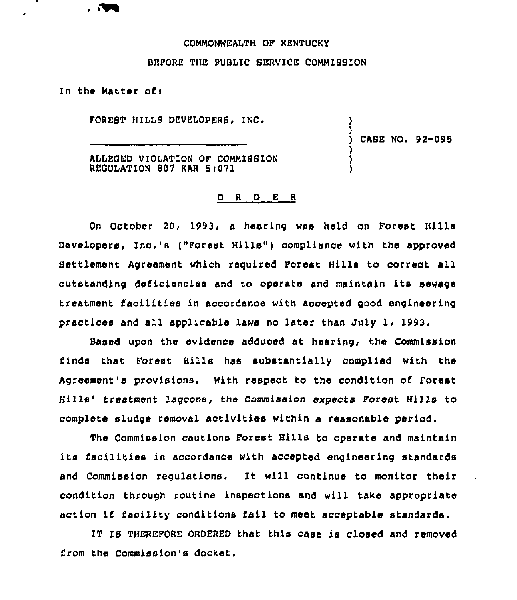## COMMONWEALTH OF KENTUCKY

## BEFORE THE PUBLIC SERVICE COMMISSION

In the Matter oft

 $\blacksquare$ 

é

FOREST HILLS DEVELOPERS, INC.

CASE NO. 92-095

) )

) ) )

ALLEOED VIOLATION OF COMMIBBION REOULATION 807 KAR 5t071

## 0 <sup>R</sup> <sup>D</sup> E <sup>R</sup>

On October 20, 1993, a hearing was held on Forest Hills Developers, Inc.'s ("Forest Hills") compliance with the approved Settlement Agreement which required Forest Hills to correct all outstanding deficiencies and to operate and maintain its sewage treatment tacilities in accordance with accepted good engineering practices and all applicable laws no later than July 1, 1993.

Based upon the evidence adduced at hearing, the Commission finds that Forest Hills has substantially complied with the Agreement's provisions. With respect to the condition of Forest Hills' treatment lagoons, the Commission expects Forest Hills to complete sludge removal activities within a reasonable period.

The Commission cautions Forest Hills to operate and maintain its Iacilities in accordance with accepted engineering standards and Commission regulations. It will continue to monitor their condition through routine inspections and will take appropriate action iE facility conditions fail to meet acceptable standards.

IT IS THEREFORE ORDERED that this case is closed and removed Erom the Commission's docket,